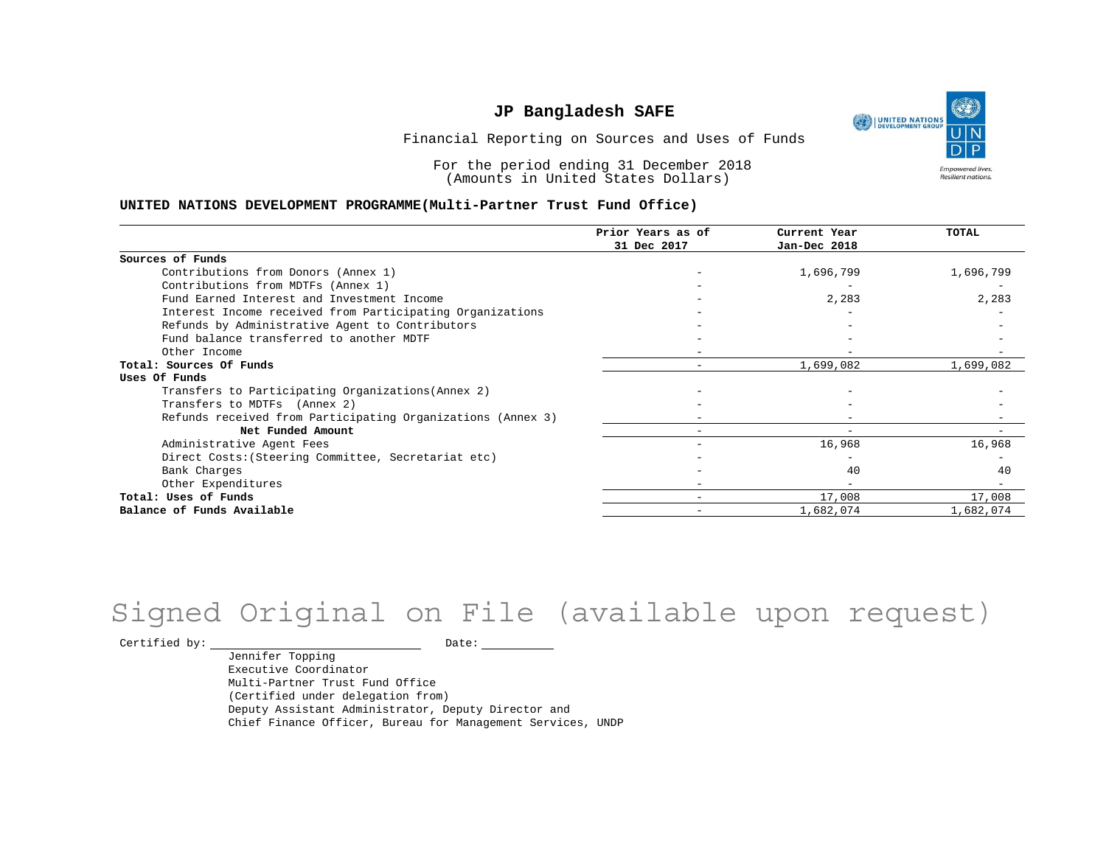UNITED NATIONS **Empowered lives** Resilient nations.

Financial Reporting on Sources and Uses of Funds

For the period ending 31 December 2018 (Amounts in United States Dollars)

#### **UNITED NATIONS DEVELOPMENT PROGRAMME(Multi-Partner Trust Fund Office)**

|                                                             | Prior Years as of | Current Year             | TOTAL     |
|-------------------------------------------------------------|-------------------|--------------------------|-----------|
|                                                             | 31 Dec 2017       | Jan-Dec 2018             |           |
| Sources of Funds                                            |                   |                          |           |
| Contributions from Donors (Annex 1)                         |                   | 1,696,799                | 1,696,799 |
| Contributions from MDTFs (Annex 1)                          |                   |                          |           |
| Fund Earned Interest and Investment Income                  |                   | 2,283                    | 2,283     |
| Interest Income received from Participating Organizations   |                   |                          |           |
| Refunds by Administrative Agent to Contributors             |                   |                          |           |
| Fund balance transferred to another MDTF                    |                   |                          |           |
| Other Income                                                |                   |                          |           |
| Total: Sources Of Funds                                     |                   | 1,699,082                | 1,699,082 |
| Uses Of Funds                                               |                   |                          |           |
| Transfers to Participating Organizations (Annex 2)          |                   |                          |           |
| Transfers to MDTFs (Annex 2)                                |                   |                          |           |
| Refunds received from Participating Organizations (Annex 3) |                   |                          |           |
| Net Funded Amount                                           |                   | $\overline{\phantom{0}}$ |           |
| Administrative Agent Fees                                   |                   | 16,968                   | 16,968    |
| Direct Costs: (Steering Committee, Secretariat etc)         |                   |                          |           |
| Bank Charges                                                |                   | 40                       | 40        |
| Other Expenditures                                          |                   |                          |           |
| Total: Uses of Funds                                        |                   | 17,008                   | 17,008    |
| Balance of Funds Available                                  |                   | 1,682,074                | 1,682,074 |

# Signed Original on File (available upon request)

 $\begin{tabular}{ccccc} \multicolumn{2}{c|}{\textbf{Certified by:}} & \multicolumn{2}{c|}{\textbf{Date:}} & \multicolumn{2}{c|}{\textbf{Date:}} \end{tabular}$ 

Jennifer Topping Executive Coordinator Multi-Partner Trust Fund Office (Certified under delegation from) Deputy Assistant Administrator, Deputy Director and Chief Finance Officer, Bureau for Management Services, UNDP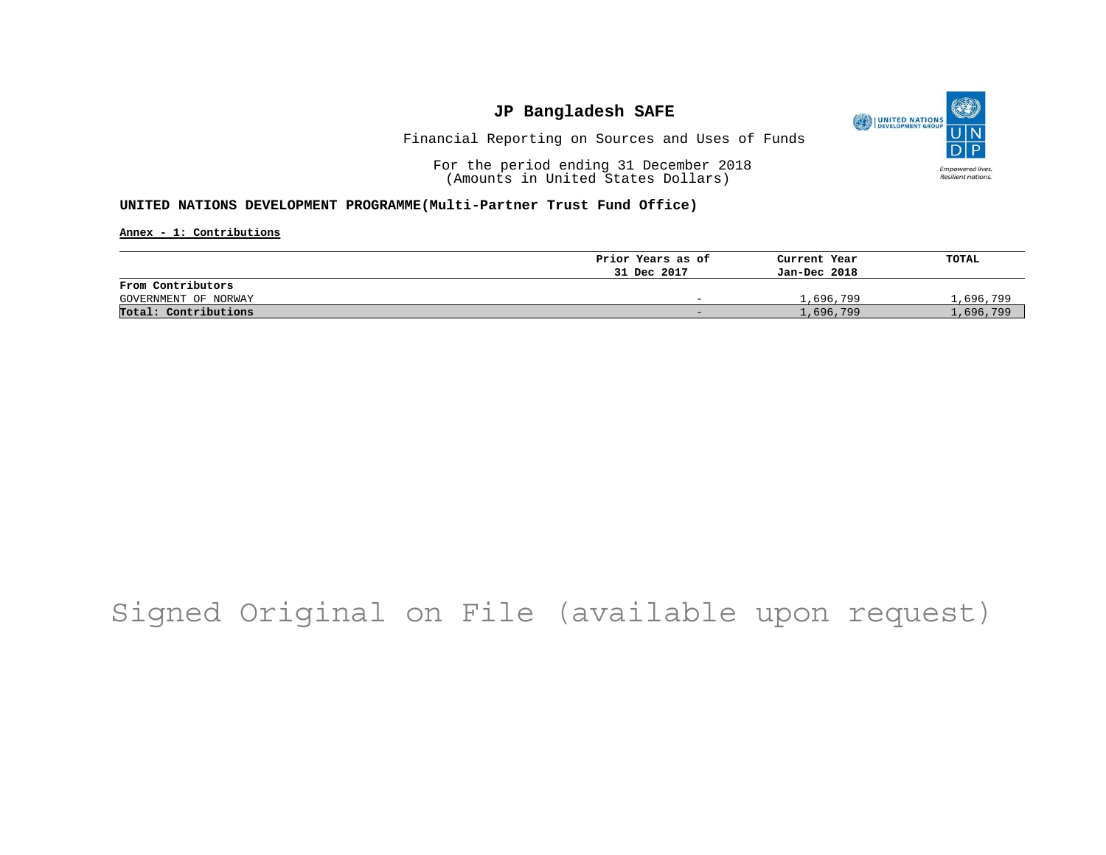

Financial Reporting on Sources and Uses of Funds

For the period ending 31 December 2018 (Amounts in United States Dollars)

#### **UNITED NATIONS DEVELOPMENT PROGRAMME(Multi-Partner Trust Fund Office)**

**Annex - 1: Contributions**

|                      | Prior Years as of        | Current Year | TOTAL     |
|----------------------|--------------------------|--------------|-----------|
|                      | 31 Dec 2017              | Jan-Dec 2018 |           |
| From Contributors    |                          |              |           |
| GOVERNMENT OF NORWAY | $\overline{\phantom{0}}$ | 1,696,799    | 1,696,799 |
| Total: Contributions | $\sim$                   | 1,696,799    | 1,696,799 |

## Signed Original on File (available upon request)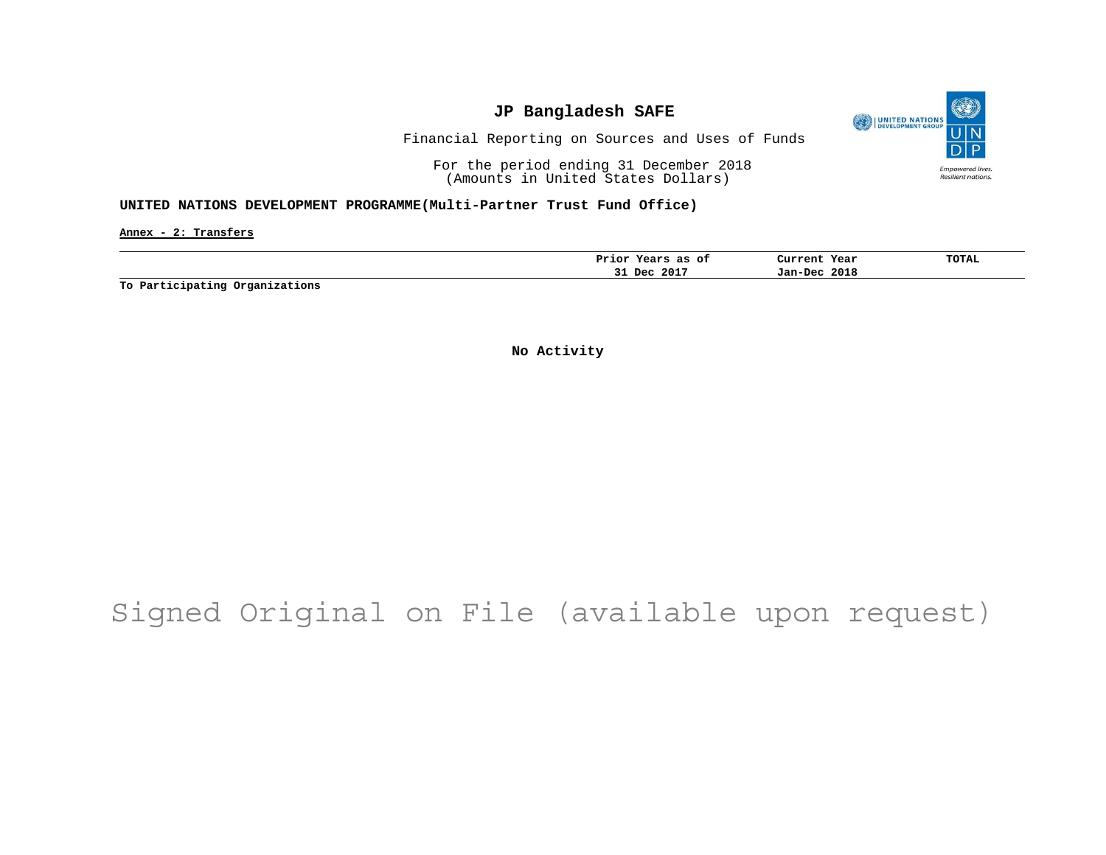

Financial Reporting on Sources and Uses of Funds

For the period ending 31 December 2018 (Amounts in United States Dollars)

#### **UNITED NATIONS DEVELOPMENT PROGRAMME(Multi-Partner Trust Fund Office)**

**Annex - 2: Transfers**

| 2017<br>2018<br>Dec<br>Jan-Dec<br>۔۔ | as<br>оt<br>Prior<br>years | Year<br>Current | <b>TOTAL</b> |
|--------------------------------------|----------------------------|-----------------|--------------|
|                                      |                            |                 |              |

**To Participating Organizations**

**No Activity**

# Signed Original on File (available upon request)